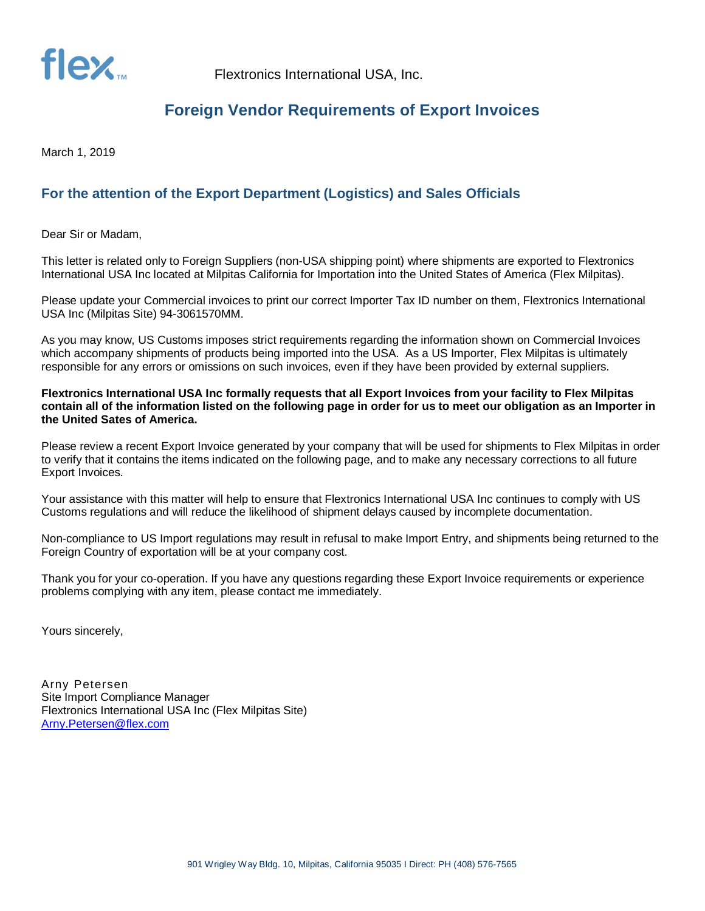

## **Foreign Vendor Requirements of Export Invoices**

March 1, 2019

## **For the attention of the Export Department (Logistics) and Sales Officials**

Dear Sir or Madam,

This letter is related only to Foreign Suppliers (non-USA shipping point) where shipments are exported to Flextronics International USA Inc located at Milpitas California for Importation into the United States of America (Flex Milpitas).

Please update your Commercial invoices to print our correct Importer Tax ID number on them, Flextronics International USA Inc (Milpitas Site) 94-3061570MM.

As you may know, US Customs imposes strict requirements regarding the information shown on Commercial Invoices which accompany shipments of products being imported into the USA. As a US Importer, Flex Milpitas is ultimately responsible for any errors or omissions on such invoices, even if they have been provided by external suppliers.

**Flextronics International USA Inc formally requests that all Export Invoices from your facility to Flex Milpitas contain all of the information listed on the following page in order for us to meet our obligation as an Importer in the United Sates of America.**

Please review a recent Export Invoice generated by your company that will be used for shipments to Flex Milpitas in order to verify that it contains the items indicated on the following page, and to make any necessary corrections to all future Export Invoices.

Your assistance with this matter will help to ensure that Flextronics International USA Inc continues to comply with US Customs regulations and will reduce the likelihood of shipment delays caused by incomplete documentation.

Non-compliance to US Import regulations may result in refusal to make Import Entry, and shipments being returned to the Foreign Country of exportation will be at your company cost.

Thank you for your co-operation. If you have any questions regarding these Export Invoice requirements or experience problems complying with any item, please contact me immediately.

Yours sincerely,

Arny Petersen Site Import Compliance Manager Flextronics International USA Inc (Flex Milpitas Site) Arny.Petersen@flex.com